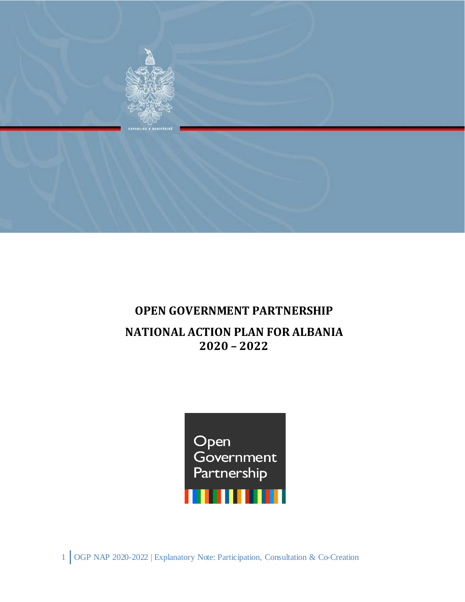

# **OPEN GOVERNMENT PARTNERSHIP**

# **NATIONAL ACTION PLAN FOR ALBANIA 2020 – 2022**



1 OGP NAP 2020-2022 | Explanatory Note: Participation, Consultation & Co-Creation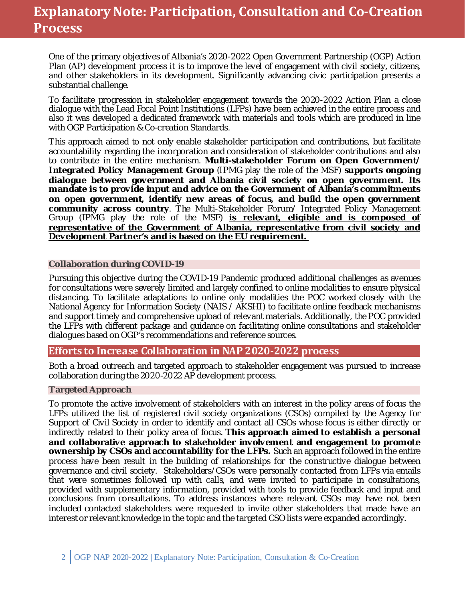# **Explanatory Note: Participation, Consultation and Co-Creation Process**

One of the primary objectives of Albania's 2020-2022 Open Government Partnership (OGP) Action Plan (AP) development process it is to improve the level of engagement with civil society, citizens, and other stakeholders in its development. Significantly advancing civic participation presents a substantial challenge.

To facilitate progression in stakeholder engagement towards the 2020-2022 Action Plan a close dialogue with the Lead Focal Point Institutions (LFPs) have been achieved in the entire process and also it was developed a dedicated framework with materials and tools which are produced in line with [OGP Participation & Co-creation Standards.](https://www.opengovpartnership.org/ogp-participation-co-creation-standards/)

This approach aimed to not only enable stakeholder participation and contributions, but facilitate accountability regarding the incorporation and consideration of stakeholder contributions and also to contribute in the entire mechanism. **Multi-stakeholder Forum on Open Government/ Integrated Policy Management Group** (IPMG play the role of the MSF) **supports ongoing dialogue between government and Albania civil society on open government. Its mandate is to provide input and advice on the Government of Albania's commitments on open government, identify new areas of focus, and build the open government community across country**. The Multi-Stakeholder Forum/ Integrated Policy Management Group (IPMG play the role of the MSF) **is relevant, eligible and is composed of representative of the Government of Albania, representative from civil society and Development Partner's and is based on the EU requirement.** 

#### **Collaboration during COVID-19**

Pursuing this objective during the COVID-19 Pandemic produced additional challenges as avenues for consultations were severely limited and largely confined to online modalities to ensure physical distancing. To facilitate adaptations to online only modalities the POC worked closely with the National Agency for Information Society (NAIS / AKSHI) to facilitate online feedback mechanisms and support timely and comprehensive upload of relevant materials. Additionally, the POC provided the LFPs with different package and guidance on facilitating online consultations and stakeholder dialogues based on OGP's recommendations and reference sources.

## **Efforts to Increase Collaboration in NAP 2020-2022 process**

Both a broad outreach and targeted approach to stakeholder engagement was pursued to increase collaboration during the 2020-2022 AP development process.

#### **Targeted Approach**

To promote the active involvement of stakeholders with an interest in the policy areas of focus the LFPs utilized the list of registered civil society organizations (CSOs) compiled by the Agency for Support of Civil Society in order to identify and contact all CSOs whose focus is either directly or indirectly related to their policy area of focus. **This approach aimed to establish a personal and collaborative approach to stakeholder involvement and engagement to promote ownership by CSOs and accountability for the LFPs.** Such an approach followed in the entire process have been result in the building of relationships for the constructive dialogue between governance and civil society. Stakeholders/CSOs were personally contacted from LFPs via emails that were sometimes followed up with calls, and were invited to participate in consultations, provided with supplementary information, provided with tools to provide feedback and input and conclusions from consultations. To address instances where relevant CSOs may have not been included contacted stakeholders were requested to invite other stakeholders that made have an interest or relevant knowledge in the topic and the targeted CSO lists were expanded accordingly.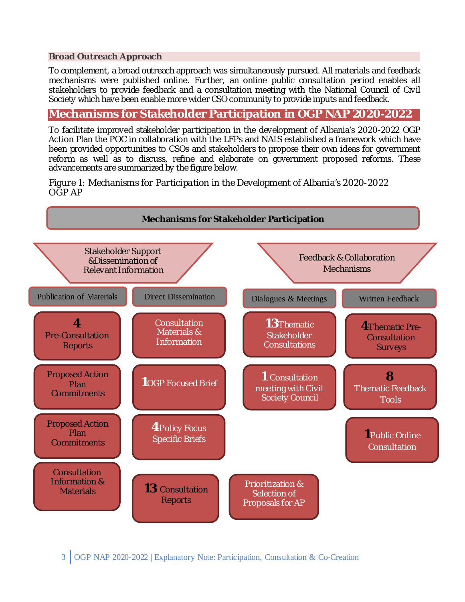#### **Broad Outreach Approach**

To complement, a broad outreach approach was simultaneously pursued. All materials and feedback mechanisms were published online. Further, an online public consultation period enables all stakeholders to provide feedback and a consultation meeting with the National Council of Civil Society which have been enable more wider CSO community to provide inputs and feedback.

# **Mechanisms for Stakeholder Participation in OGP NAP 2020-2022**

To facilitate improved stakeholder participation in the development of Albania's 2020-2022 OGP Action Plan the POC in collaboration with the LFPs and NAIS established a framework which have been provided opportunities to CSOs and stakeholders to propose their own ideas for government reform as well as to discuss, refine and elaborate on government proposed reforms. These advancements are summarized by the figure below.

*Figure 1: Mechanisms for Participation in the Development of Albania's 2020-2022 OGP AP*



3 OGP NAP 2020-2022 | Explanatory Note: Participation, Consultation & Co-Creation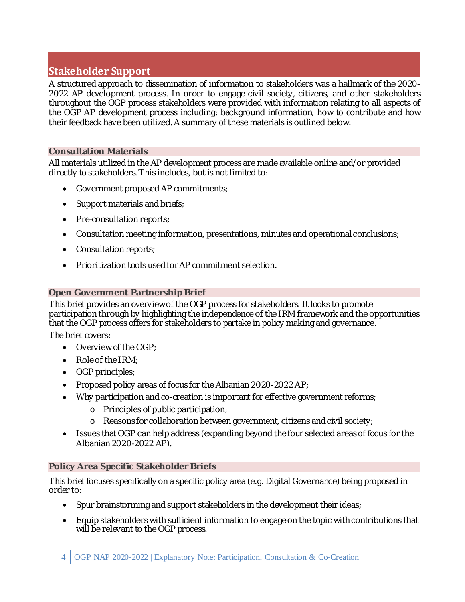# **Stakeholder Support**

A structured approach to dissemination of information to stakeholders was a hallmark of the 2020- 2022 AP development process. In order to engage civil society, citizens, and other stakeholders throughout the OGP process stakeholders were provided with information relating to all aspects of the OGP AP development process including: background information, how to contribute and how their feedback have been utilized. A summary of these materials is outlined below.

# **Consultation Materials**

All materials utilized in the AP development process are made available online and/or provided directly to stakeholders. This includes, but is not limited to:

- Government proposed AP commitments;
- Support materials and briefs;
- Pre-consultation reports;
- Consultation meeting information, presentations, minutes and operational conclusions;
- Consultation reports;
- Prioritization tools used for AP commitment selection.

# **Open Government Partnership Brief**

This brief provides an overview of the OGP process for stakeholders. It looks to promote participation through by highlighting the independence of the IRM framework and the opportunities that the OGP process offers for stakeholders to partake in policy making and governance.

The brief covers:

- Overview of the OGP:
- Role of the IRM;
- OGP principles;
- Proposed policy areas of focus for the Albanian 2020-2022 AP;
- Why participation and co-creation is important for effective government reforms;
	- o Principles of public participation;
	- o Reasons for collaboration between government, citizens and civil society;
- Issues that OGP can help address (expanding beyond the four selected areas of focus for the Albanian 2020-2022 AP).

## **Policy Area Specific Stakeholder Briefs**

This brief focuses specifically on a specific policy area (e.g. Digital Governance) being proposed in order to:

- Spur brainstorming and support stakeholders in the development their ideas;
- Equip stakeholders with sufficient information to engage on the topic with contributions that will be relevant to the OGP process.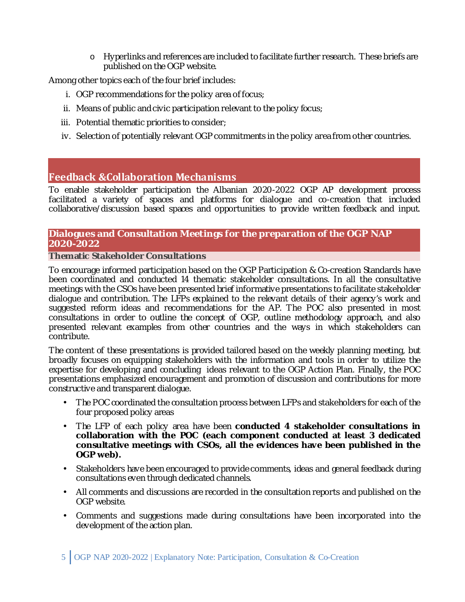o Hyperlinks and references are included to facilitate further research. These briefs are published on the OGP website.

Among other topics each of the four brief includes:

- i. OGP recommendations for the policy area of focus;
- ii. Means of public and civic participation relevant to the policy focus;
- iii. Potential thematic priorities to consider;
- iv. Selection of potentially relevant OGP commitments in the policy area from other countries.

# **Feedback &Collaboration Mechanisms**

To enable stakeholder participation the Albanian 2020-2022 OGP AP development process facilitated a variety of spaces and platforms for dialogue and co-creation that included collaborative/discussion based spaces and opportunities to provide written feedback and input.

# **Dialogues and Consultation Meetings for the preparation of the OGP NAP 2020-2022**

#### **Thematic Stakeholder Consultations**

To encourage informed participation based on the [OGP Participation & Co-creation Standards](https://www.opengovpartnership.org/ogp-participation-co-creation-standards/) have been coordinated and conducted 14 thematic stakeholder consultations. In all the consultative meetings with the CSOs have been presented brief informative presentations to facilitate stakeholder dialogue and contribution. The LFPs explained to the relevant details of their agency's work and suggested reform ideas and recommendations for the AP. The POC also presented in most consultations in order to outline the concept of OGP, outline methodology approach, and also presented relevant examples from other countries and the ways in which stakeholders can contribute.

The content of these presentations is provided tailored based on the weekly planning meeting, but broadly focuses on equipping stakeholders with the information and tools in order to utilize the expertise for developing and concluding ideas relevant to the OGP Action Plan. Finally, the POC presentations emphasized encouragement and promotion of discussion and contributions for more constructive and transparent dialogue.

- The POC coordinated the consultation process between LFPs and stakeholders for each of the four proposed policy areas
- The LFP of each policy area have been **conducted 4 stakeholder consultations in collaboration with the POC (each component conducted at least 3 dedicated consultative meetings with CSOs, all the evidences have been published in the OGP web).**
- Stakeholders have been encouraged to provide comments, ideas and general feedback during consultations even through dedicated channels.
- All comments and discussions are recorded in the consultation reports and published on the OGP website.
- Comments and suggestions made during consultations have been incorporated into the development of the action plan.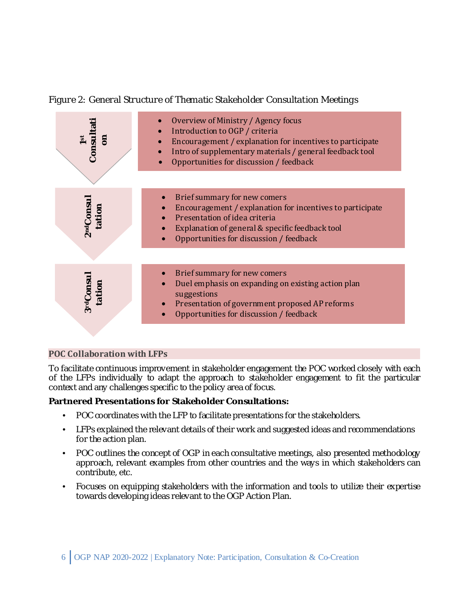*Figure 2: General Structure of Thematic Stakeholder Consultation Meetings*



# **POC Collaboration with LFPs**

To facilitate continuous improvement in stakeholder engagement the POC worked closely with each of the LFPs individually to adapt the approach to stakeholder engagement to fit the particular context and any challenges specific to the policy area of focus.

# **Partnered Presentations for Stakeholder Consultations:**

- POC coordinates with the LFP to facilitate presentations for the stakeholders.
- LFPs explained the relevant details of their work and suggested ideas and recommendations for the action plan.
- POC outlines the concept of OGP in each consultative meetings, also presented methodology approach, relevant examples from other countries and the ways in which stakeholders can contribute, etc.
- Focuses on equipping stakeholders with the information and tools to utilize their expertise towards developing ideas relevant to the OGP Action Plan.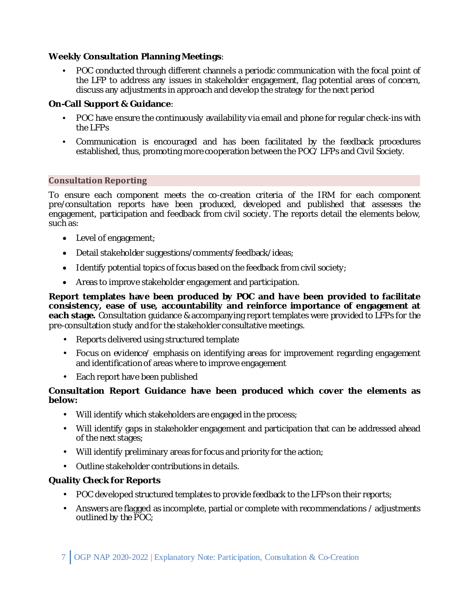# **Weekly Consultation Planning Meetings**:

• POC conducted through different channels a periodic communication with the focal point of the LFP to address any issues in stakeholder engagement, flag potential areas of concern, discuss any adjustments in approach and develop the strategy for the next period

## **On-Call Support & Guidance**:

- POC have ensure the continuously availability via email and phone for regular check-ins with the LFPs
- Communication is encouraged and has been facilitated by the feedback procedures established, thus, promoting more cooperation between the POC/ LFPs and Civil Society.

#### **Consultation Reporting**

To ensure each component meets the co-creation criteria of the IRM for each component pre/consultation reports have been produced, developed and published that assesses the engagement, participation and feedback from civil society. The reports detail the elements below, such as:

- Level of engagement;
- Detail stakeholder suggestions/comments/feedback/ideas;
- Identify potential topics of focus based on the feedback from civil society;
- Areas to improve stakeholder engagement and participation.

**Report templates have been produced by POC and have been provided to facilitate consistency, ease of use, accountability and reinforce importance of engagement at each stage.** Consultation guidance & accompanying report templates were provided to LFPs for the pre-consultation study and for the stakeholder consultative meetings.

- Reports delivered using structured template
- Focus on evidence/ emphasis on identifying areas for improvement regarding engagement and identification of areas where to improve engagement
- Each report have been published

## **Consultation Report Guidance have been produced which cover the elements as below:**

- Will identify which stakeholders are engaged in the process;
- Will identify gaps in stakeholder engagement and participation that can be addressed ahead of the next stages;
- Will identify preliminary areas for focus and priority for the action;
- Outline stakeholder contributions in details.

## **Quality Check for Reports**

- POC developed structured templates to provide feedback to the LFPs on their reports;
- Answers are flagged as incomplete, partial or complete with recommendations / adjustments outlined by the POC;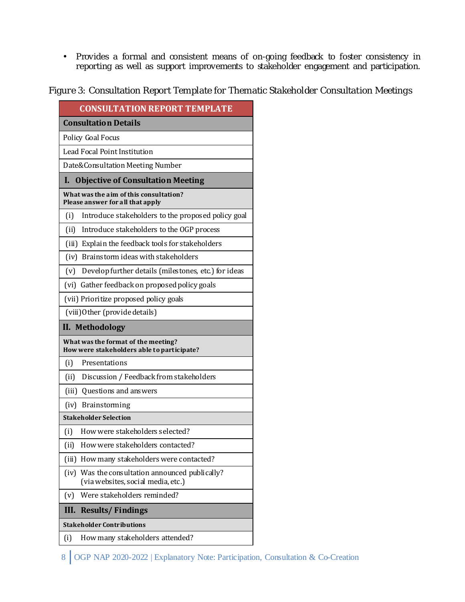• Provides a formal and consistent means of on-going feedback to foster consistency in reporting as well as support improvements to stakeholder engagement and participation.

*Figure 3: Consultation Report Template for Thematic Stakeholder Consultation Meetings*

| <b>CONSULTATION REPORT TEMPLATE</b>                                                      |  |  |  |  |
|------------------------------------------------------------------------------------------|--|--|--|--|
| <b>Consultation Details</b>                                                              |  |  |  |  |
| <b>Policy Goal Focus</b>                                                                 |  |  |  |  |
| Lead Focal Point Institution                                                             |  |  |  |  |
| Date&Consultation Meeting Number                                                         |  |  |  |  |
| <b>Objective of Consultation Meeting</b><br>L                                            |  |  |  |  |
| What was the aim of this consultation?<br>Please answer for all that apply               |  |  |  |  |
| Introduce stakeholders to the proposed policy goal<br>(i)                                |  |  |  |  |
| Introduce stakeholders to the OGP process<br>(i)                                         |  |  |  |  |
| (iii) Explain the feedback tools for stakeholders                                        |  |  |  |  |
| (iv) Brainstorm ideas with stakeholders                                                  |  |  |  |  |
| Develop further details (milestones, etc.) for ideas<br>(v)                              |  |  |  |  |
| (vi) Gather feedback on proposed policy goals                                            |  |  |  |  |
| (vii) Prioritize proposed policy goals                                                   |  |  |  |  |
| (viii) Other (provide details)                                                           |  |  |  |  |
| II. Methodology                                                                          |  |  |  |  |
| What was the format of the meeting?<br>How were stakeholders able to participate?        |  |  |  |  |
| (i)<br>Presentations                                                                     |  |  |  |  |
| Discussion / Feedback from stakeholders<br>(i)                                           |  |  |  |  |
| (iii) Questions and answers                                                              |  |  |  |  |
| (iv)<br>Brainstorming                                                                    |  |  |  |  |
| <b>Stakeholder Selection</b>                                                             |  |  |  |  |
| How were stakeholders selected?<br>(i)                                                   |  |  |  |  |
| How were stakeholders contacted?<br>(i)                                                  |  |  |  |  |
| How many stakeholders were contacted?<br>(iii)                                           |  |  |  |  |
| Was the consultation announced publically?<br>(iv)<br>(via websites, social media, etc.) |  |  |  |  |
| Were stakeholders reminded?<br>(v)                                                       |  |  |  |  |
| <b>Results/Findings</b><br>III.                                                          |  |  |  |  |
| <b>Stakeholder Contributions</b>                                                         |  |  |  |  |
| How many stakeholders attended?<br>(i)                                                   |  |  |  |  |

<sup>8</sup> OGP NAP 2020-2022 | Explanatory Note: Participation, Consultation & Co-Creation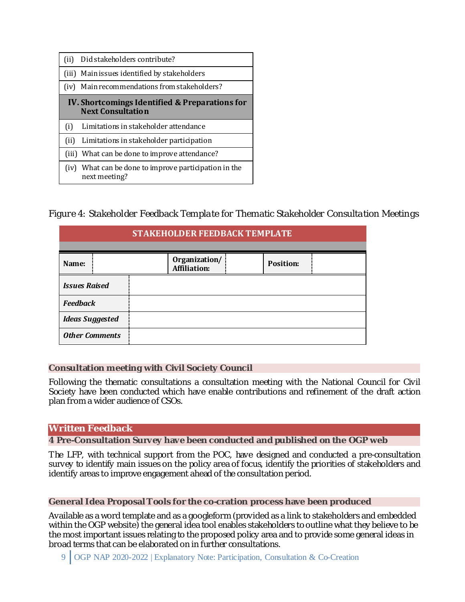| (i) | Did stakeholders contribute?                                                      |
|-----|-----------------------------------------------------------------------------------|
|     | (iii) Main issues identified by stakeholders                                      |
|     | (iv) Main recommendations from stakeholders?                                      |
|     | <b>IV.</b> Shortcomings Identified & Preparations for<br><b>Next Consultation</b> |
| (i) |                                                                                   |
|     | Limitations in stakeholder attendance                                             |
| (i) | Limitations in stakeholder participation                                          |
|     | (iii) What can be done to improve attendance?                                     |

*Figure 4: Stakeholder Feedback Template for Thematic Stakeholder Consultation Meetings*

| STAKEHOLDER FEEDBACK TEMPLATE |  |                                      |  |                  |  |  |  |
|-------------------------------|--|--------------------------------------|--|------------------|--|--|--|
| Name:                         |  | Organization/<br><b>Affiliation:</b> |  | <b>Position:</b> |  |  |  |
| <b>Issues Raised</b>          |  |                                      |  |                  |  |  |  |
| <b>Feedback</b>               |  |                                      |  |                  |  |  |  |
| <b>Ideas Suggested</b>        |  |                                      |  |                  |  |  |  |
| <b>Other Comments</b>         |  |                                      |  |                  |  |  |  |

## **Consultation meeting with Civil Society Council**

Following the thematic consultations a consultation meeting with the National Council for Civil Society have been conducted which have enable contributions and refinement of the draft action plan from a wider audience of CSOs.

#### **Written Feedback**

**4 Pre-Consultation Survey have been conducted and published on the OGP web**

The LFP, with technical support from the POC, have designed and conducted a pre-consultation survey to identify main issues on the policy area of focus, identify the priorities of stakeholders and identify areas to improve engagement ahead of the consultation period.

#### **General Idea Proposal Tools for the co-cration process have been produced**

Available as a word template and as a googleform (provided as a link to stakeholders and embedded within the OGP website) the general idea tool enables stakeholders to outline what they believe to be the most important issues relating to the proposed policy area and to provide some general ideas in broad terms that can be elaborated on in further consultations.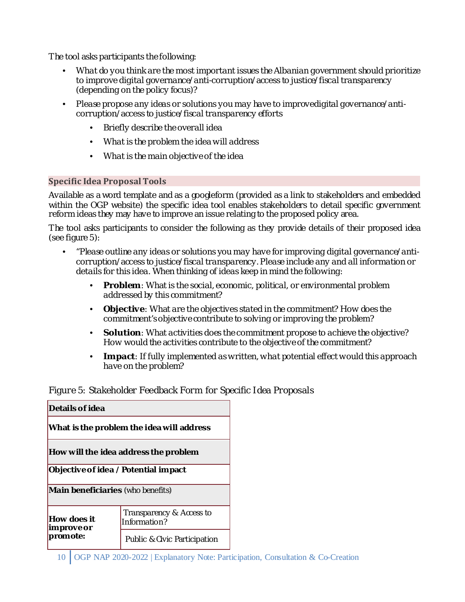The tool asks participants the following:

- *What do you think are the most important issues the Albanian government should prioritize to improve digital governance/anti-corruption/access to justice/fiscal transparency (depending on the policy focus)?*
- *Please propose any ideas or solutions you may have to improvedigital governance/anticorruption/access to justice/fiscal transparency efforts*
	- *Briefly describe the overall idea*
	- *What is the problem the idea will address*
	- *What is the main objective of the idea*

# **Specific Idea Proposal Tools**

Available as a word template and as a googleform (provided as a link to stakeholders and embedded within the OGP website) the specific idea tool enables stakeholders to detail specific government reform ideas they may have to improve an issue relating to the proposed policy area.

The tool asks participants to consider the following as they provide details of their proposed idea (see figure 5):

- *"Please outline any ideas or solutions you may have for improving digital governance/anticorruption/access to justice/fiscal transparency. Please include any and all information or details for this idea. When thinking of ideas keep in mind the following:*
	- *Problem: What is the social, economic, political, or environmental problem addressed by this commitment?*
	- *Objective: What are the objectives stated in the commitment? How does the commitment's objective contribute to solving or improving the problem?*
	- *Solution: What activities does the commitment propose to achieve the objective? How would the activities contribute to the objective of the commitment?*
	- *Impact: If fully implemented as written, what potential effect would this approach have on the problem?*

*Figure 5: Stakeholder Feedback Form for Specific Idea Proposals*

| Details of idea                                                                    |                                          |  |  |  |                                      |
|------------------------------------------------------------------------------------|------------------------------------------|--|--|--|--------------------------------------|
| What is the problem the idea will address<br>How will the idea address the problem |                                          |  |  |  |                                      |
|                                                                                    |                                          |  |  |  | Objective of idea / Potential impact |
| <b>Main beneficiaries</b> (who benefits)                                           |                                          |  |  |  |                                      |
| How does it<br>im prove or                                                         | Transparency & Access to<br>Information? |  |  |  |                                      |
| promote:                                                                           | <b>Public &amp; Civic Participation</b>  |  |  |  |                                      |